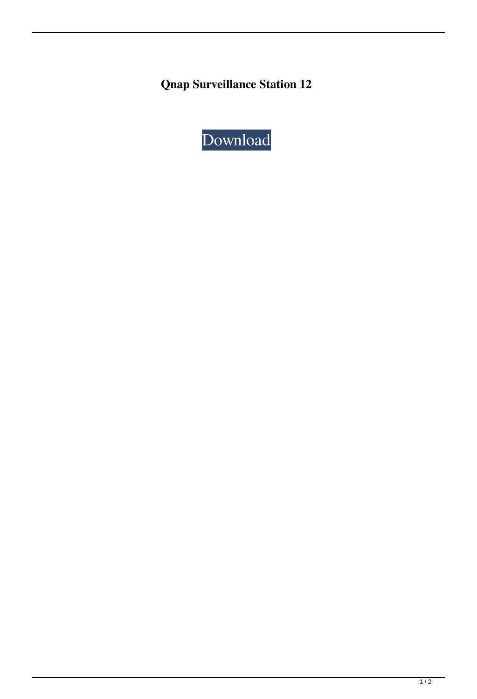**Qnap Surveillance Station 12**